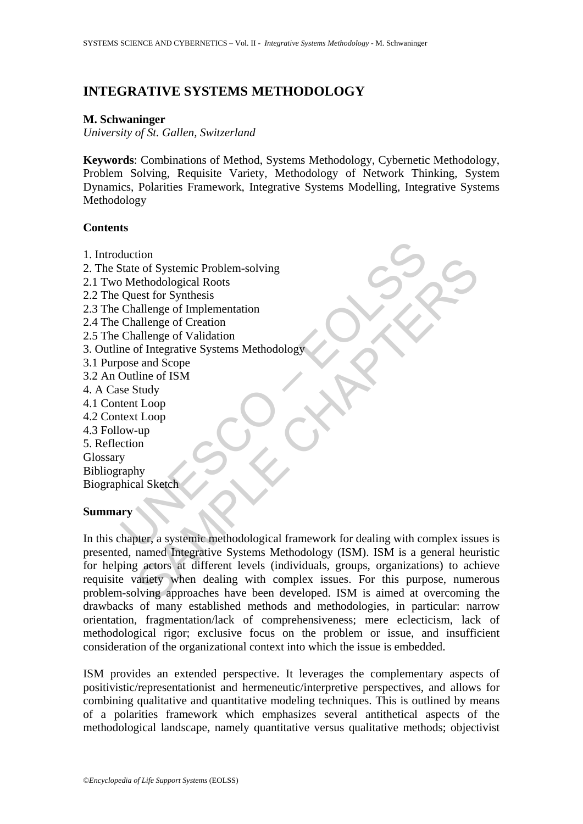# **INTEGRATIVE SYSTEMS METHODOLOGY**

### **M. Schwaninger**

*University of St. Gallen, Switzerland* 

**Keywords**: Combinations of Method, Systems Methodology, Cybernetic Methodology, Problem Solving, Requisite Variety, Methodology of Network Thinking, System Dynamics, Polarities Framework, Integrative Systems Modelling, Integrative Systems Methodology

### **Contents**

- 1. Introduction
- 2. The State of Systemic Problem-solving
- 2.1 Two Methodological Roots 2.2 The Quest for Synthesis
- 2.3 The Challenge of Implementation
- 2.4 The Challenge of Creation
- 2.5 The Challenge of Validation
- 3. Outline of Integrative Systems Methodology
- 3.1 Purpose and Scope
- 3.2 An Outline of ISM
- 4. A Case Study
- 4.1 Content Loop
- 4.2 Context Loop
- 4.3 Follow-up
- 5. Reflection

Glossary

Bibliography Biographical Sketch

## **Summary**

duction<br>
State of Systemic Problem-solving<br>
Distributed<br>
Distributed<br>
Distributed<br>
Cuest for Synthesis<br>
Challenge of Validation<br>
Challenge of Validation<br>
Challenge of Validation<br>
me of Integrative Systems Methodology<br>
Dose the of Systemic Problem-solving<br>
e of Systemic Problem-solving<br>
ethodological Roots<br>
est for Synthesis<br>
ear ad Scope<br>
allenge of Creation<br>
allenge of Cration<br>
allenge of Cration<br>
stands and Scope<br>
allenge of Systems Method In this chapter, a systemic methodological framework for dealing with complex issues is presented, named Integrative Systems Methodology (ISM). ISM is a general heuristic for helping actors at different levels (individuals, groups, organizations) to achieve requisite variety when dealing with complex issues. For this purpose, numerous problem-solving approaches have been developed. ISM is aimed at overcoming the drawbacks of many established methods and methodologies, in particular: narrow orientation, fragmentation/lack of comprehensiveness; mere eclecticism, lack of methodological rigor; exclusive focus on the problem or issue, and insufficient consideration of the organizational context into which the issue is embedded.

ISM provides an extended perspective. It leverages the complementary aspects of positivistic/representationist and hermeneutic/interpretive perspectives, and allows for combining qualitative and quantitative modeling techniques. This is outlined by means of a polarities framework which emphasizes several antithetical aspects of the methodological landscape, namely quantitative versus qualitative methods; objectivist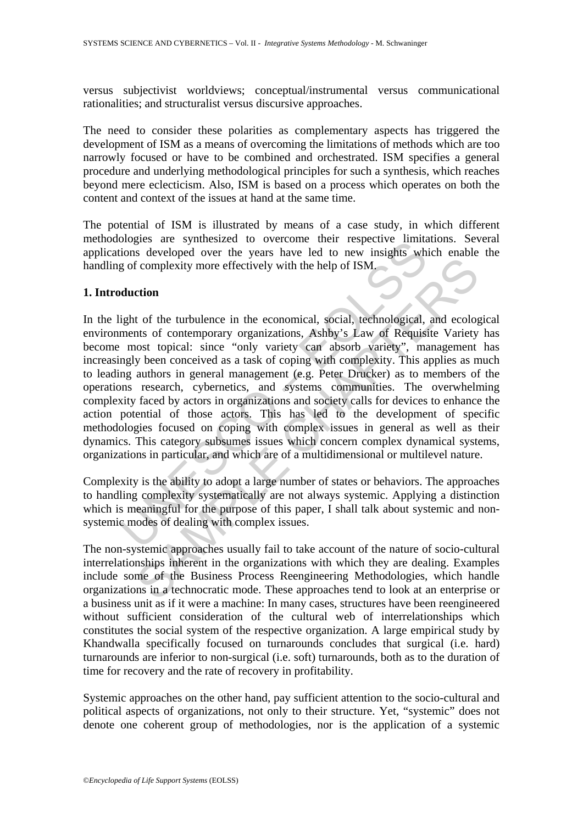versus subjectivist worldviews; conceptual/instrumental versus communicational rationalities; and structuralist versus discursive approaches.

The need to consider these polarities as complementary aspects has triggered the development of ISM as a means of overcoming the limitations of methods which are too narrowly focused or have to be combined and orchestrated. ISM specifies a general procedure and underlying methodological principles for such a synthesis, which reaches beyond mere eclecticism. Also, ISM is based on a process which operates on both the content and context of the issues at hand at the same time.

The potential of ISM is illustrated by means of a case study, in which different methodologies are synthesized to overcome their respective limitations. Several applications developed over the years have led to new insights which enable the handling of complexity more effectively with the help of ISM.

### **1. Introduction**

blogies are symmestized to overcome their eigective minites<br>ions developed over the years have led to new inights wh<br>g of complexity more effectively with the help of ISM.<br>duction<br>ight of the turbulence in the economical, Complexity more effectively with the help of ISM.<br>
Complexity more effectively with the help of ISM.<br>
Complexity more effectively with the help of ISM.<br>
Constrate to rolly variety can absorb variety?, management<br>
y been co In the light of the turbulence in the economical, social, technological, and ecological environments of contemporary organizations, Ashby's Law of Requisite Variety has become most topical: since "only variety can absorb variety", management has increasingly been conceived as a task of coping with complexity. This applies as much to leading authors in general management (e.g. Peter Drucker) as to members of the operations research, cybernetics, and systems communities. The overwhelming complexity faced by actors in organizations and society calls for devices to enhance the action potential of those actors. This has led to the development of specific methodologies focused on coping with complex issues in general as well as their dynamics. This category subsumes issues which concern complex dynamical systems, organizations in particular, and which are of a multidimensional or multilevel nature.

Complexity is the ability to adopt a large number of states or behaviors. The approaches to handling complexity systematically are not always systemic. Applying a distinction which is meaningful for the purpose of this paper, I shall talk about systemic and nonsystemic modes of dealing with complex issues.

The non-systemic approaches usually fail to take account of the nature of socio-cultural interrelationships inherent in the organizations with which they are dealing. Examples include some of the Business Process Reengineering Methodologies, which handle organizations in a technocratic mode. These approaches tend to look at an enterprise or a business unit as if it were a machine: In many cases, structures have been reengineered without sufficient consideration of the cultural web of interrelationships which constitutes the social system of the respective organization. A large empirical study by Khandwalla specifically focused on turnarounds concludes that surgical (i.e. hard) turnarounds are inferior to non-surgical (i.e. soft) turnarounds, both as to the duration of time for recovery and the rate of recovery in profitability.

Systemic approaches on the other hand, pay sufficient attention to the socio-cultural and political aspects of organizations, not only to their structure. Yet, "systemic" does not denote one coherent group of methodologies, nor is the application of a systemic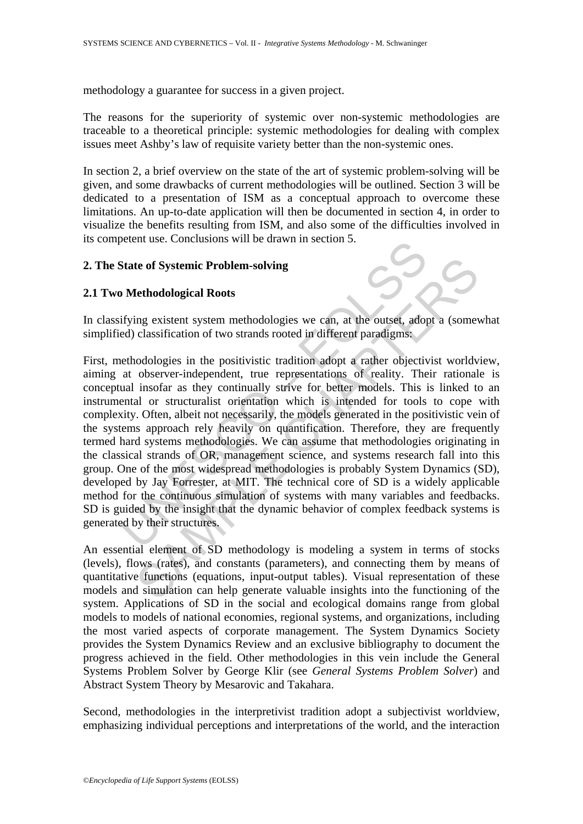methodology a guarantee for success in a given project.

The reasons for the superiority of systemic over non-systemic methodologies are traceable to a theoretical principle: systemic methodologies for dealing with complex issues meet Ashby's law of requisite variety better than the non-systemic ones.

In section 2, a brief overview on the state of the art of systemic problem-solving will be given, and some drawbacks of current methodologies will be outlined. Section 3 will be dedicated to a presentation of ISM as a conceptual approach to overcome these limitations. An up-to-date application will then be documented in section 4, in order to visualize the benefits resulting from ISM, and also some of the difficulties involved in its competent use. Conclusions will be drawn in section 5.

### **2. The State of Systemic Problem-solving**

## **2.1 Two Methodological Roots**

In classifying existent system methodologies we can, at the outset, adopt a (somewhat simplified) classification of two strands rooted in different paradigms:

State of Systemic Problem-solving<br>
Methodological Roots<br>
ifying existent system methodologies we can, at the outset, adopted) classification of two strands rooted in different paradigms:<br>
ethodologies in the positivistic t te of Systemic Problem-solving<br>
lethodological Roots<br>
ing existent system methodologies we can, at the outset, adopt a (some<br>
classification of two strands rooted in different paradigms.<br>
codologies in the positivistic tra First, methodologies in the positivistic tradition adopt a rather objectivist worldview, aiming at observer-independent, true representations of reality. Their rationale is conceptual insofar as they continually strive for better models. This is linked to an instrumental or structuralist orientation which is intended for tools to cope with complexity. Often, albeit not necessarily, the models generated in the positivistic vein of the systems approach rely heavily on quantification. Therefore, they are frequently termed hard systems methodologies. We can assume that methodologies originating in the classical strands of OR, management science, and systems research fall into this group. One of the most widespread methodologies is probably System Dynamics (SD), developed by Jay Forrester, at MIT. The technical core of SD is a widely applicable method for the continuous simulation of systems with many variables and feedbacks. SD is guided by the insight that the dynamic behavior of complex feedback systems is generated by their structures.

An essential element of SD methodology is modeling a system in terms of stocks (levels), flows (rates), and constants (parameters), and connecting them by means of quantitative functions (equations, input-output tables). Visual representation of these models and simulation can help generate valuable insights into the functioning of the system. Applications of SD in the social and ecological domains range from global models to models of national economies, regional systems, and organizations, including the most varied aspects of corporate management. The System Dynamics Society provides the System Dynamics Review and an exclusive bibliography to document the progress achieved in the field. Other methodologies in this vein include the General Systems Problem Solver by George Klir (see *General Systems Problem Solver*) and Abstract System Theory by Mesarovic and Takahara.

Second, methodologies in the interpretivist tradition adopt a subjectivist worldview, emphasizing individual perceptions and interpretations of the world, and the interaction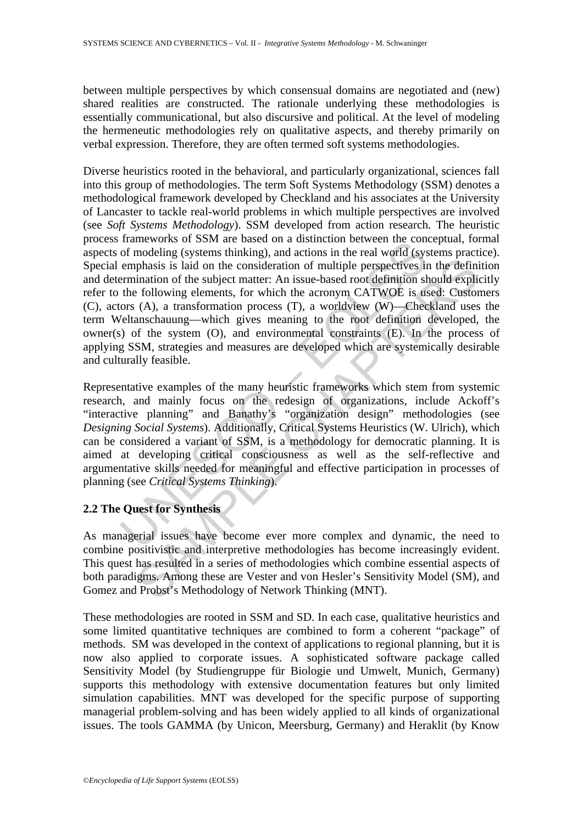between multiple perspectives by which consensual domains are negotiated and (new) shared realities are constructed. The rationale underlying these methodologies is essentially communicational, but also discursive and political. At the level of modeling the hermeneutic methodologies rely on qualitative aspects, and thereby primarily on verbal expression. Therefore, they are often termed soft systems methodologies.

Frameworks of solvi are based on a usuation between the con-<br>of modeling (systems thinking), and actions in the real world (sys<br>emphasis is laid on the consideration of multiple perspectives in<br>ermination of the subject m infinition of the subject material is is idea, the consideration of multiple perspectives in the definition of the subject matter: An issue-based root definition should explicial infinition of the subject matter: An issue-Diverse heuristics rooted in the behavioral, and particularly organizational, sciences fall into this group of methodologies. The term Soft Systems Methodology (SSM) denotes a methodological framework developed by Checkland and his associates at the University of Lancaster to tackle real-world problems in which multiple perspectives are involved (see *Soft Systems Methodology*). SSM developed from action research. The heuristic process frameworks of SSM are based on a distinction between the conceptual, formal aspects of modeling (systems thinking), and actions in the real world (systems practice). Special emphasis is laid on the consideration of multiple perspectives in the definition and determination of the subject matter: An issue-based root definition should explicitly refer to the following elements, for which the acronym CATWOE is used: Customers (C), actors (A), a transformation process (T), a worldview (W)—Checkland uses the term Weltanschauung—which gives meaning to the root definition developed, the owner(s) of the system (O), and environmental constraints (E). In the process of applying SSM, strategies and measures are developed which are systemically desirable and culturally feasible.

Representative examples of the many heuristic frameworks which stem from systemic research, and mainly focus on the redesign of organizations, include Ackoff's "interactive planning" and Banathy's "organization design" methodologies (see *Designing Social Systems*). Additionally, Critical Systems Heuristics (W. Ulrich), which can be considered a variant of SSM, is a methodology for democratic planning. It is aimed at developing critical consciousness as well as the self-reflective and argumentative skills needed for meaningful and effective participation in processes of planning (see *Critical Systems Thinking*).

## **2.2 The Quest for Synthesis**

As managerial issues have become ever more complex and dynamic, the need to combine positivistic and interpretive methodologies has become increasingly evident. This quest has resulted in a series of methodologies which combine essential aspects of both paradigms. Among these are Vester and von Hesler's Sensitivity Model (SM), and Gomez and Probst's Methodology of Network Thinking (MNT).

These methodologies are rooted in SSM and SD. In each case, qualitative heuristics and some limited quantitative techniques are combined to form a coherent "package" of methods. SM was developed in the context of applications to regional planning, but it is now also applied to corporate issues. A sophisticated software package called Sensitivity Model (by Studiengruppe für Biologie und Umwelt, Munich, Germany) supports this methodology with extensive documentation features but only limited simulation capabilities. MNT was developed for the specific purpose of supporting managerial problem-solving and has been widely applied to all kinds of organizational issues. The tools GAMMA (by Unicon, Meersburg, Germany) and Heraklit (by Know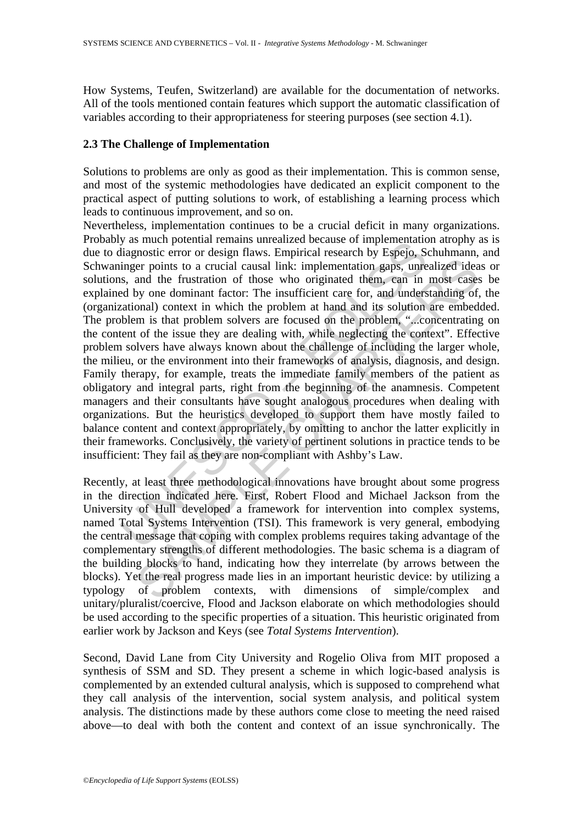How Systems, Teufen, Switzerland) are available for the documentation of networks. All of the tools mentioned contain features which support the automatic classification of variables according to their appropriateness for steering purposes (see section 4.1).

## **2.3 The Challenge of Implementation**

Solutions to problems are only as good as their implementation. This is common sense, and most of the systemic methodologies have dedicated an explicit component to the practical aspect of putting solutions to work, of establishing a learning process which leads to continuous improvement, and so on.

y as interpolation remains unrealized occause on implementation<br>diagnostic error or design flaws. Empirical research by Especio, Singer points to a crucial causal link: implementation gaps, unres, s, and the frustration of mental to a crucial causal link: implementation graps, unrealized idea<br>not the function of those who originated them, can in most cases<br>not denote that the function for the instifferent care for, and understanding of<br>notal Nevertheless, implementation continues to be a crucial deficit in many organizations. Probably as much potential remains unrealized because of implementation atrophy as is due to diagnostic error or design flaws. Empirical research by Espejo, Schuhmann, and Schwaninger points to a crucial causal link: implementation gaps, unrealized ideas or solutions, and the frustration of those who originated them, can in most cases be explained by one dominant factor: The insufficient care for, and understanding of, the (organizational) context in which the problem at hand and its solution are embedded. The problem is that problem solvers are focused on the problem, "...concentrating on the content of the issue they are dealing with, while neglecting the context". Effective problem solvers have always known about the challenge of including the larger whole, the milieu, or the environment into their frameworks of analysis, diagnosis, and design. Family therapy, for example, treats the immediate family members of the patient as obligatory and integral parts, right from the beginning of the anamnesis. Competent managers and their consultants have sought analogous procedures when dealing with organizations. But the heuristics developed to support them have mostly failed to balance content and context appropriately, by omitting to anchor the latter explicitly in their frameworks. Conclusively, the variety of pertinent solutions in practice tends to be insufficient: They fail as they are non-compliant with Ashby's Law.

Recently, at least three methodological innovations have brought about some progress in the direction indicated here. First, Robert Flood and Michael Jackson from the University of Hull developed a framework for intervention into complex systems, named Total Systems Intervention (TSI). This framework is very general, embodying the central message that coping with complex problems requires taking advantage of the complementary strengths of different methodologies. The basic schema is a diagram of the building blocks to hand, indicating how they interrelate (by arrows between the blocks). Yet the real progress made lies in an important heuristic device: by utilizing a typology of problem contexts, with dimensions of simple/complex and unitary/pluralist/coercive, Flood and Jackson elaborate on which methodologies should be used according to the specific properties of a situation. This heuristic originated from earlier work by Jackson and Keys (see *Total Systems Intervention*).

Second, David Lane from City University and Rogelio Oliva from MIT proposed a synthesis of SSM and SD. They present a scheme in which logic-based analysis is complemented by an extended cultural analysis, which is supposed to comprehend what they call analysis of the intervention, social system analysis, and political system analysis. The distinctions made by these authors come close to meeting the need raised above—to deal with both the content and context of an issue synchronically. The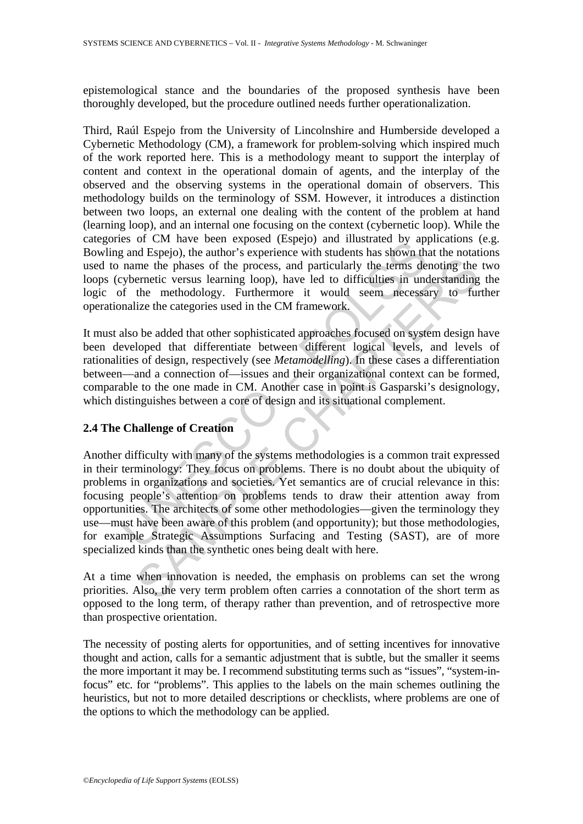epistemological stance and the boundaries of the proposed synthesis have been thoroughly developed, but the procedure outlined needs further operationalization.

Third, Raúl Espejo from the University of Lincolnshire and Humberside developed a Cybernetic Methodology (CM), a framework for problem-solving which inspired much of the work reported here. This is a methodology meant to support the interplay of content and context in the operational domain of agents, and the interplay of the observed and the observing systems in the operational domain of observers. This methodology builds on the terminology of SSM. However, it introduces a distinction between two loops, an external one dealing with the content of the problem at hand (learning loop), and an internal one focusing on the context (cybernetic loop). While the categories of CM have been exposed (Espejo) and illustrated by applications (e.g. Bowling and Espejo), the author's experience with students has shown that the notations used to name the phases of the process, and particularly the terms denoting the two loops (cybernetic versus learning loop), have led to difficulties in understanding the logic of the methodology. Furthermore it would seem necessary to further operationalize the categories used in the CM framework.

It must also be added that other sophisticated approaches focused on system design have been developed that differentiate between different logical levels, and levels of rationalities of design, respectively (see *Metamodelling*). In these cases a differentiation between—and a connection of—issues and their organizational context can be formed, comparable to the one made in CM. Another case in point is Gasparski's designology, which distinguishes between a core of design and its situational complement.

# **2.4 The Challenge of Creation**

is on CM law been exposed using and must are ally and must are by any<br>g and Espejo), the author's experience with students has shown the<br>name the phases of the process, and particularly the terms de<br>cybernetic versus learn methe phases of the process, and particularly the terms denoting the<br>methe phases of the process, and particularly the terms denoting the<br>ernetic versus learning loop), have led to difficulties in understanding<br>the methodo Another difficulty with many of the systems methodologies is a common trait expressed in their terminology: They focus on problems. There is no doubt about the ubiquity of problems in organizations and societies. Yet semantics are of crucial relevance in this: focusing people's attention on problems tends to draw their attention away from opportunities. The architects of some other methodologies—given the terminology they use—must have been aware of this problem (and opportunity); but those methodologies, for example Strategic Assumptions Surfacing and Testing (SAST), are of more specialized kinds than the synthetic ones being dealt with here.

At a time when innovation is needed, the emphasis on problems can set the wrong priorities. Also, the very term problem often carries a connotation of the short term as opposed to the long term, of therapy rather than prevention, and of retrospective more than prospective orientation.

The necessity of posting alerts for opportunities, and of setting incentives for innovative thought and action, calls for a semantic adjustment that is subtle, but the smaller it seems the more important it may be. I recommend substituting terms such as "issues", "system-infocus" etc. for "problems". This applies to the labels on the main schemes outlining the heuristics, but not to more detailed descriptions or checklists, where problems are one of the options to which the methodology can be applied.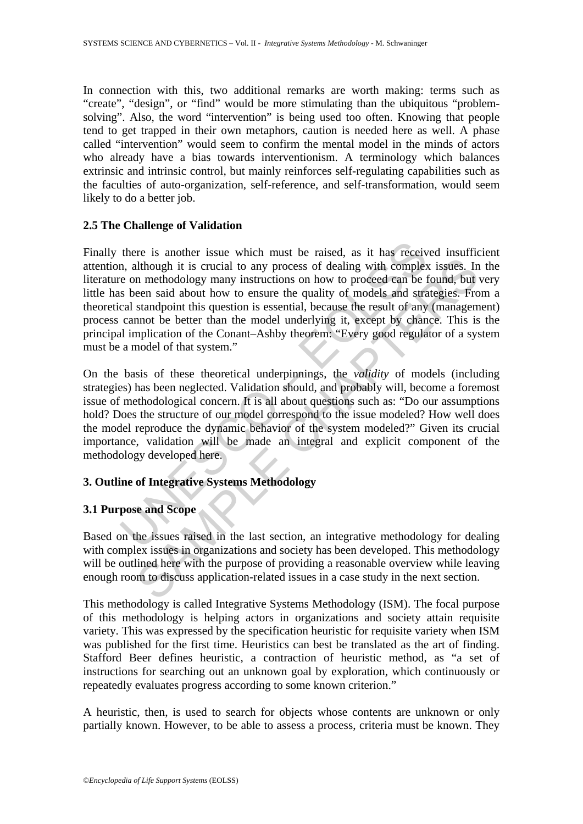In connection with this, two additional remarks are worth making: terms such as "create", "design", or "find" would be more stimulating than the ubiquitous "problemsolving". Also, the word "intervention" is being used too often. Knowing that people tend to get trapped in their own metaphors, caution is needed here as well. A phase called "intervention" would seem to confirm the mental model in the minds of actors who already have a bias towards interventionism. A terminology which balances extrinsic and intrinsic control, but mainly reinforces self-regulating capabilities such as the faculties of auto-organization, self-reference, and self-transformation, would seem likely to do a better job.

## **2.5 The Challenge of Validation**

there is another issue which must be raised, as it has receiven, although it is crucial to any process of dealing with complexe on methodology many instructions on how to proceed can be is been said about how to ensure the So mantal about how to ensure the quality of models are also mantal and a methodology many instructions on how to proceed can be found, but een said about how to ensure the quality of models and strategies. From standpoint Finally there is another issue which must be raised, as it has received insufficient attention, although it is crucial to any process of dealing with complex issues. In the literature on methodology many instructions on how to proceed can be found, but very little has been said about how to ensure the quality of models and strategies. From a theoretical standpoint this question is essential, because the result of any (management) process cannot be better than the model underlying it, except by chance. This is the principal implication of the Conant–Ashby theorem: "Every good regulator of a system must be a model of that system."

On the basis of these theoretical underpinnings, the *validity* of models (including strategies) has been neglected. Validation should, and probably will, become a foremost issue of methodological concern. It is all about questions such as: "Do our assumptions hold? Does the structure of our model correspond to the issue modeled? How well does the model reproduce the dynamic behavior of the system modeled?" Given its crucial importance, validation will be made an integral and explicit component of the methodology developed here.

# **3. Outline of Integrative Systems Methodology**

# **3.1 Purpose and Scope**

Based on the issues raised in the last section, an integrative methodology for dealing with complex issues in organizations and society has been developed. This methodology will be outlined here with the purpose of providing a reasonable overview while leaving enough room to discuss application-related issues in a case study in the next section.

This methodology is called Integrative Systems Methodology (ISM). The focal purpose of this methodology is helping actors in organizations and society attain requisite variety. This was expressed by the specification heuristic for requisite variety when ISM was published for the first time. Heuristics can best be translated as the art of finding. Stafford Beer defines heuristic, a contraction of heuristic method, as "a set of instructions for searching out an unknown goal by exploration, which continuously or repeatedly evaluates progress according to some known criterion."

A heuristic, then, is used to search for objects whose contents are unknown or only partially known. However, to be able to assess a process, criteria must be known. They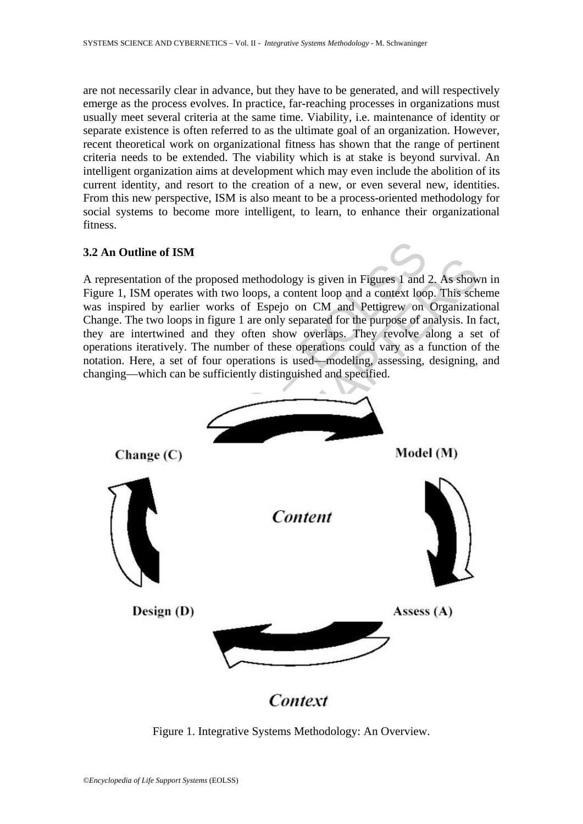are not necessarily clear in advance, but they have to be generated, and will respectively emerge as the process evolves. In practice, far-reaching processes in organizations must usually meet several criteria at the same time. Viability, i.e. maintenance of identity or separate existence is often referred to as the ultimate goal of an organization. However, recent theoretical work on organizational fitness has shown that the range of pertinent criteria needs to be extended. The viability which is at stake is beyond survival. An intelligent organization aims at development which may even include the abolition of its current identity, and resort to the creation of a new, or even several new, identities. From this new perspective, ISM is also meant to be a process-oriented methodology for social systems to become more intelligent, to learn, to enhance their organizational fitness.

## **3.2 An Outline of ISM**

A representation of the proposed methodology is given in Figures 1 and 2. As shown in Figure 1, ISM operates with two loops, a content loop and a context loop. This scheme was inspired by earlier works of Espejo on CM and Pettigrew on Organizational Change. The two loops in figure 1 are only separated for the purpose of analysis. In fact, they are intertwined and they often show overlaps. They revolve along a set of operations iteratively. The number of these operations could vary as a function of the notation. Here, a set of four operations is used—modeling, assessing, designing, and changing—which can be sufficiently distinguished and specified.



Figure 1. Integrative Systems Methodology: An Overview.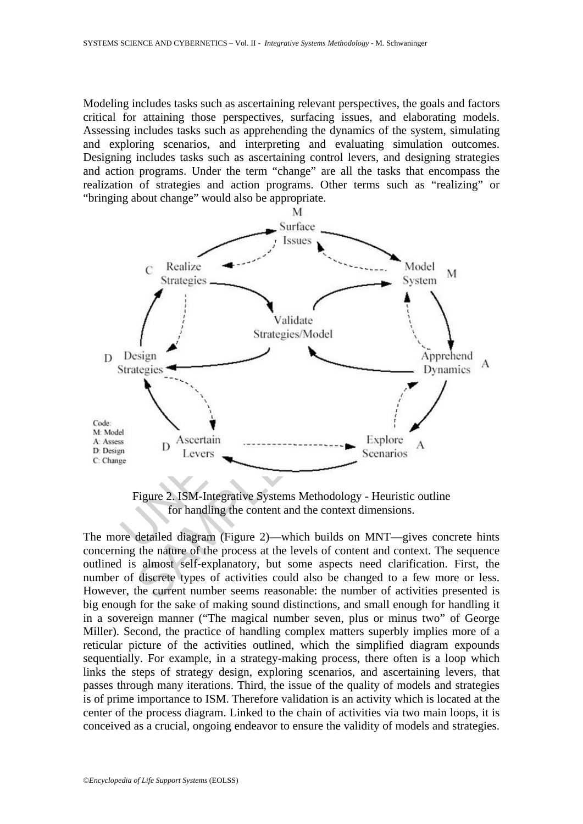Modeling includes tasks such as ascertaining relevant perspectives, the goals and factors critical for attaining those perspectives, surfacing issues, and elaborating models. Assessing includes tasks such as apprehending the dynamics of the system, simulating and exploring scenarios, and interpreting and evaluating simulation outcomes. Designing includes tasks such as ascertaining control levers, and designing strategies and action programs. Under the term "change" are all the tasks that encompass the realization of strategies and action programs. Other terms such as "realizing" or "bringing about change" would also be appropriate.



Figure 2. ISM-Integrative Systems Methodology - Heuristic outline for handling the content and the context dimensions.

The more detailed diagram (Figure 2)—which builds on MNT—gives concrete hints concerning the nature of the process at the levels of content and context. The sequence outlined is almost self-explanatory, but some aspects need clarification. First, the number of discrete types of activities could also be changed to a few more or less. However, the current number seems reasonable: the number of activities presented is big enough for the sake of making sound distinctions, and small enough for handling it in a sovereign manner ("The magical number seven, plus or minus two" of George Miller). Second, the practice of handling complex matters superbly implies more of a reticular picture of the activities outlined, which the simplified diagram expounds sequentially. For example, in a strategy-making process, there often is a loop which links the steps of strategy design, exploring scenarios, and ascertaining levers, that passes through many iterations. Third, the issue of the quality of models and strategies is of prime importance to ISM. Therefore validation is an activity which is located at the center of the process diagram. Linked to the chain of activities via two main loops, it is conceived as a crucial, ongoing endeavor to ensure the validity of models and strategies.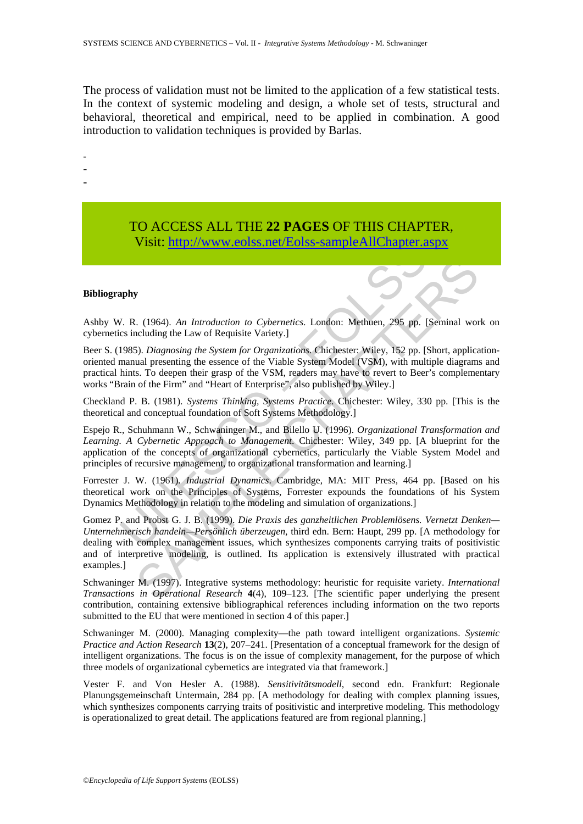The process of validation must not be limited to the application of a few statistical tests. In the context of systemic modeling and design, a whole set of tests, structural and behavioral, theoretical and empirical, need to be applied in combination. A good introduction to validation techniques is provided by Barlas.

-

- -
- -

# TO ACCESS ALL THE **22 PAGES** OF THIS CHAPTER, Visit: http://www.eolss.net/Eolss-sampleAllChapter.aspx

#### **Bibliography**

Ashby W. R. (1964). *An Introduction to Cybernetics*. London: Methuen, 295 pp. [Seminal work on cybernetics including the Law of Requisite Variety.]

Beer S. (1985). *Diagnosing the System for Organizations*. Chichester: Wiley, 152 pp. [Short, applicationoriented manual presenting the essence of the Viable System Model (VSM), with multiple diagrams and practical hints. To deepen their grasp of the VSM, readers may have to revert to Beer's complementary works "Brain of the Firm" and "Heart of Enterprise", also published by Wiley.]

Checkland P. B. (1981). *Systems Thinking, Systems Practice*. Chichester: Wiley, 330 pp. [This is the theoretical and conceptual foundation of Soft Systems Methodology.]

V181: http://www.eolss.net/Eolss-sampleAllChapter.a<br>
phy<br>
1. R. (1964). An Introduction to Cybernetics. London: Methuen, 295 pp. [<br>
ses including the Law of Requisite Variety.]<br>
1985). Diagnosing the System for Organizatio Espejo R., Schuhmann W., Schwaninger M., and Bilello U. (1996). *Organizational Transformation and Learning. A Cybernetic Approach to Management*. Chichester: Wiley, 349 pp. [A blueprint for the application of the concepts of organizational cybernetics, particularly the Viable System Model and principles of recursive management, to organizational transformation and learning.]

Forrester J. W. (1961). *Industrial Dynamics*. Cambridge, MA: MIT Press, 464 pp. [Based on his theoretical work on the Principles of Systems, Forrester expounds the foundations of his System Dynamics Methodology in relation to the modeling and simulation of organizations.]

SCRIPT (1964). An *Introduction to Cybernetics*, London: Methuen, 295 pp. [Seminal worduding the Law of Requisite Variety.]<br>
So. Diagnosing the System for Organizations: Chiclester: Wiley, 152 pp. [Short, applicant and pre Gomez P. and Probst G. J. B. (1999). *Die Praxis des ganzheitlichen Problemlösens. Vernetzt Denken— Unternehmerisch handeln—Persönlich überzeugen*, third edn. Bern: Haupt, 299 pp. [A methodology for dealing with complex management issues, which synthesizes components carrying traits of positivistic and of interpretive modeling, is outlined. Its application is extensively illustrated with practical examples.]

Schwaninger M. (1997). Integrative systems methodology: heuristic for requisite variety. *International Transactions in Operational Research* **4**(4), 109–123. [The scientific paper underlying the present contribution, containing extensive bibliographical references including information on the two reports submitted to the EU that were mentioned in section 4 of this paper.

Schwaninger M. (2000). Managing complexity—the path toward intelligent organizations. *Systemic Practice and Action Research* **13**(2), 207–241. [Presentation of a conceptual framework for the design of intelligent organizations. The focus is on the issue of complexity management, for the purpose of which three models of organizational cybernetics are integrated via that framework.]

Vester F. and Von Hesler A. (1988). *Sensitivitätsmodell*, second edn. Frankfurt: Regionale Planungsgemeinschaft Untermain, 284 pp. [A methodology for dealing with complex planning issues, which synthesizes components carrying traits of positivistic and interpretive modeling. This methodology is operationalized to great detail. The applications featured are from regional planning.]